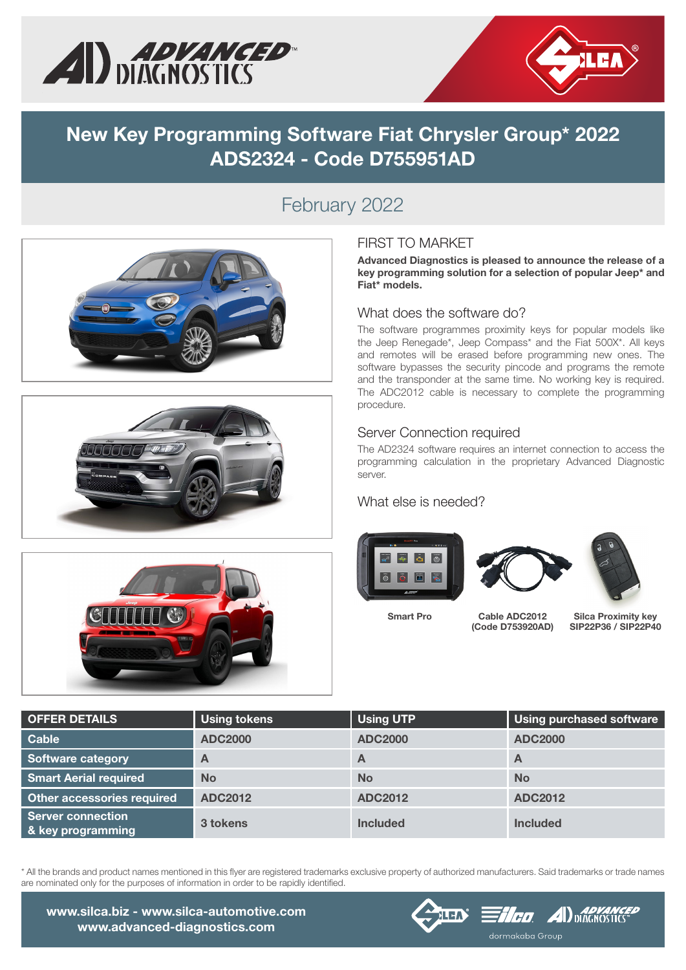



## New Key Programming Software Fiat Chrysler Group\* 2022 ADS2324 - Code D755951AD

### February 2022







### FIRST TO MARKET

Advanced Diagnostics is pleased to announce the release of a key programming solution for a selection of popular Jeep\* and Fiat\* models.

#### What does the software do?

The software programmes proximity keys for popular models like the Jeep Renegade\*, Jeep Compass\* and the Fiat 500X\*. All keys and remotes will be erased before programming new ones. The software bypasses the security pincode and programs the remote and the transponder at the same time. No working key is required. The ADC2012 cable is necessary to complete the programming procedure.

#### Server Connection required

The AD2324 software requires an internet connection to access the programming calculation in the proprietary Advanced Diagnostic server.

#### What else is needed?







Smart Pro Cable ADC2012 (Code D753920AD)

Silca Proximity key SIP22P36 / SIP22P40

| <b>OFFER DETAILS</b>                          | <b>Using tokens</b> | <b>Using UTP</b> | <b>Using purchased software</b> |
|-----------------------------------------------|---------------------|------------------|---------------------------------|
| Cable                                         | <b>ADC2000</b>      | <b>ADC2000</b>   | <b>ADC2000</b>                  |
| <b>Software category</b>                      | Α                   | $\mathbf{A}$     | A                               |
| <b>Smart Aerial required</b>                  | <b>No</b>           | <b>No</b>        | <b>No</b>                       |
| Other accessories required                    | <b>ADC2012</b>      | <b>ADC2012</b>   | <b>ADC2012</b>                  |
| <b>Server connection</b><br>& key programming | 3 tokens            | <b>Included</b>  | <b>Included</b>                 |

\* All the brands and product names mentioned in this flyer are registered trademarks exclusive property of authorized manufacturers. Said trademarks or trade names are nominated only for the purposes of information in order to be rapidly identified.

www.silca.biz - www.silca-automotive.com www.advanced-diagnostics.com